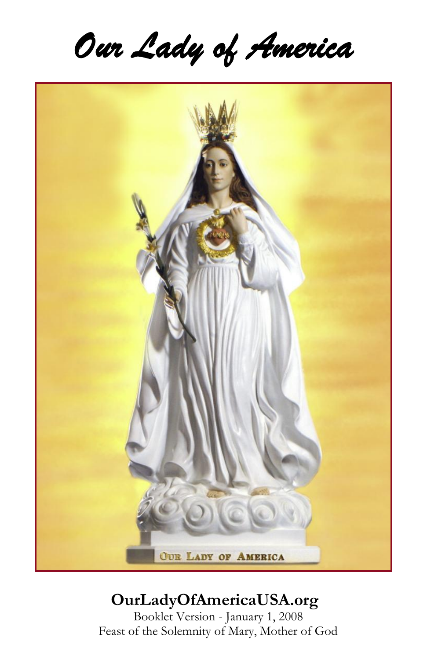*Our Lady of America*



# **OurLadyOfAmericaUSA.org**

Booklet Version - January 1, 2008 Feast of the Solemnity of Mary, Mother of God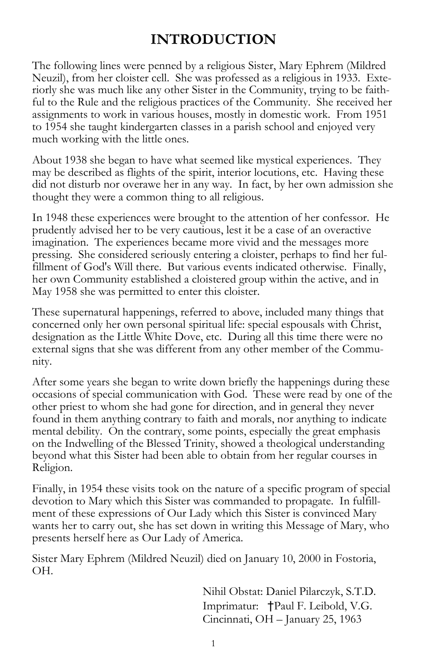# **INTRODUCTION**

The following lines were penned by a religious Sister, Mary Ephrem (Mildred Neuzil), from her cloister cell. She was professed as a religious in 1933. Exteriorly she was much like any other Sister in the Community, trying to be faithful to the Rule and the religious practices of the Community. She received her assignments to work in various houses, mostly in domestic work. From 1951 to 1954 she taught kindergarten classes in a parish school and enjoyed very much working with the little ones.

About 1938 she began to have what seemed like mystical experiences. They may be described as flights of the spirit, interior locutions, etc. Having these did not disturb nor overawe her in any way. In fact, by her own admission she thought they were a common thing to all religious.

In 1948 these experiences were brought to the attention of her confessor. He prudently advised her to be very cautious, lest it be a case of an overactive imagination. The experiences became more vivid and the messages more pressing. She considered seriously entering a cloister, perhaps to find her fulfillment of God's Will there. But various events indicated otherwise. Finally, her own Community established a cloistered group within the active, and in May 1958 she was permitted to enter this cloister.

These supernatural happenings, referred to above, included many things that concerned only her own personal spiritual life: special espousals with Christ, designation as the Little White Dove, etc. During all this time there were no external signs that she was different from any other member of the Community.

After some years she began to write down briefly the happenings during these occasions of special communication with God. These were read by one of the other priest to whom she had gone for direction, and in general they never found in them anything contrary to faith and morals, nor anything to indicate mental debility. On the contrary, some points, especially the great emphasis on the Indwelling of the Blessed Trinity, showed a theological understanding beyond what this Sister had been able to obtain from her regular courses in Religion.

Finally, in 1954 these visits took on the nature of a specific program of special devotion to Mary which this Sister was commanded to propagate. In fulfillment of these expressions of Our Lady which this Sister is convinced Mary wants her to carry out, she has set down in writing this Message of Mary, who presents herself here as Our Lady of America.

Sister Mary Ephrem (Mildred Neuzil) died on January 10, 2000 in Fostoria, OH.

> Nihil Obstat: Daniel Pilarczyk, S.T.D. Imprimatur: †Paul F. Leibold, V.G. Cincinnati, OH – January 25, 1963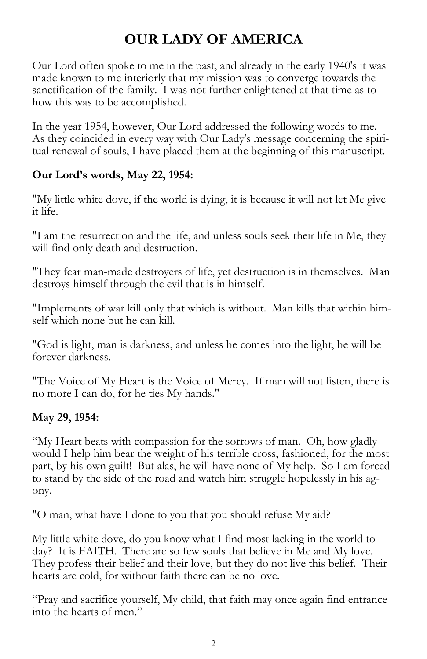# **OUR LADY OF AMERICA**

Our Lord often spoke to me in the past, and already in the early 1940's it was made known to me interiorly that my mission was to converge towards the sanctification of the family. I was not further enlightened at that time as to how this was to be accomplished.

In the year 1954, however, Our Lord addressed the following words to me. As they coincided in every way with Our Lady's message concerning the spiritual renewal of souls, I have placed them at the beginning of this manuscript.

## **Our Lord's words, May 22, 1954:**

"My little white dove, if the world is dying, it is because it will not let Me give it life.

"I am the resurrection and the life, and unless souls seek their life in Me, they will find only death and destruction.

"They fear man-made destroyers of life, yet destruction is in themselves. Man destroys himself through the evil that is in himself.

"Implements of war kill only that which is without. Man kills that within himself which none but he can kill.

"God is light, man is darkness, and unless he comes into the light, he will be forever darkness.

"The Voice of My Heart is the Voice of Mercy. If man will not listen, there is no more I can do, for he ties My hands."

#### **May 29, 1954:**

"My Heart beats with compassion for the sorrows of man. Oh, how gladly would I help him bear the weight of his terrible cross, fashioned, for the most part, by his own guilt! But alas, he will have none of My help. So I am forced to stand by the side of the road and watch him struggle hopelessly in his agony.

"O man, what have I done to you that you should refuse My aid?

My little white dove, do you know what I find most lacking in the world today? It is FAITH. There are so few souls that believe in Me and My love. They profess their belief and their love, but they do not live this belief. Their hearts are cold, for without faith there can be no love.

"Pray and sacrifice yourself, My child, that faith may once again find entrance into the hearts of men."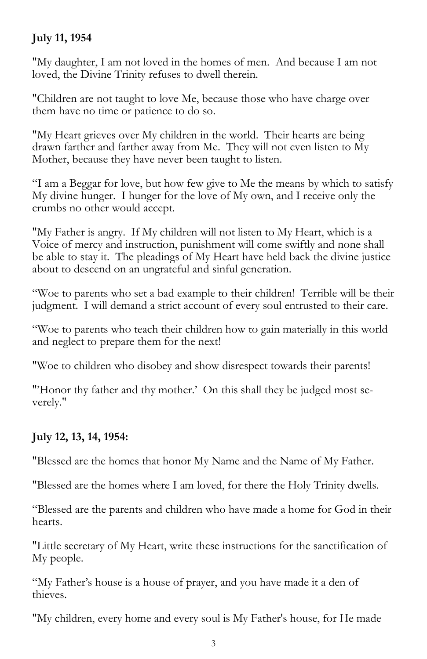# **July 11, 1954**

"My daughter, I am not loved in the homes of men. And because I am not loved, the Divine Trinity refuses to dwell therein.

"Children are not taught to love Me, because those who have charge over them have no time or patience to do so.

"My Heart grieves over My children in the world. Their hearts are being drawn farther and farther away from Me. They will not even listen to My Mother, because they have never been taught to listen.

"I am a Beggar for love, but how few give to Me the means by which to satisfy My divine hunger. I hunger for the love of My own, and I receive only the crumbs no other would accept.

"My Father is angry. If My children will not listen to My Heart, which is a Voice of mercy and instruction, punishment will come swiftly and none shall be able to stay it. The pleadings of My Heart have held back the divine justice about to descend on an ungrateful and sinful generation.

"Woe to parents who set a bad example to their children! Terrible will be their judgment. I will demand a strict account of every soul entrusted to their care.

"Woe to parents who teach their children how to gain materially in this world and neglect to prepare them for the next!

"Woe to children who disobey and show disrespect towards their parents!

"'Honor thy father and thy mother.' On this shall they be judged most severely."

# **July 12, 13, 14, 1954:**

"Blessed are the homes that honor My Name and the Name of My Father.

"Blessed are the homes where I am loved, for there the Holy Trinity dwells.

"Blessed are the parents and children who have made a home for God in their hearts.

"Little secretary of My Heart, write these instructions for the sanctification of My people.

"My Father's house is a house of prayer, and you have made it a den of thieves.

"My children, every home and every soul is My Father's house, for He made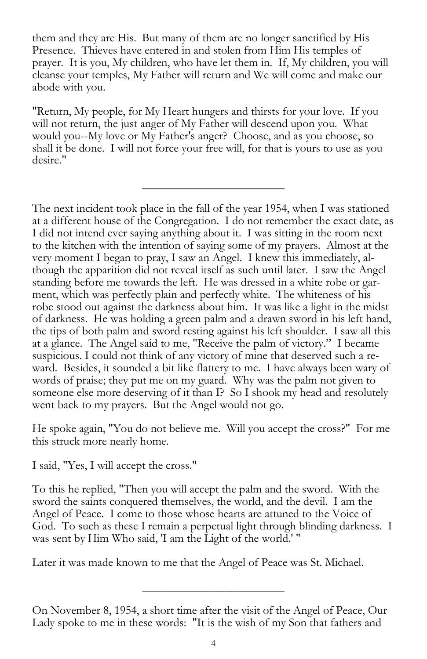them and they are His. But many of them are no longer sanctified by His Presence. Thieves have entered in and stolen from Him His temples of prayer. It is you, My children, who have let them in. If, My children, you will cleanse your temples, My Father will return and We will come and make our abode with you.

"Return, My people, for My Heart hungers and thirsts for your love. If you will not return, the just anger of My Father will descend upon you. What would you--My love or My Father's anger? Choose, and as you choose, so shall it be done. I will not force your free will, for that is yours to use as you desire."

 $\overline{\phantom{a}}$  , where  $\overline{\phantom{a}}$  , where  $\overline{\phantom{a}}$  , where  $\overline{\phantom{a}}$ 

The next incident took place in the fall of the year 1954, when I was stationed at a different house of the Congregation. I do not remember the exact date, as I did not intend ever saying anything about it. I was sitting in the room next to the kitchen with the intention of saying some of my prayers. Almost at the very moment I began to pray, I saw an Angel. I knew this immediately, although the apparition did not reveal itself as such until later. I saw the Angel standing before me towards the left. He was dressed in a white robe or garment, which was perfectly plain and perfectly white. The whiteness of his robe stood out against the darkness about him. It was like a light in the midst of darkness. He was holding a green palm and a drawn sword in his left hand, the tips of both palm and sword resting against his left shoulder. I saw all this at a glance. The Angel said to me, "Receive the palm of victory." I became suspicious. I could not think of any victory of mine that deserved such a reward. Besides, it sounded a bit like flattery to me. I have always been wary of words of praise; they put me on my guard. Why was the palm not given to someone else more deserving of it than I? So I shook my head and resolutely went back to my prayers. But the Angel would not go.

He spoke again, "You do not believe me. Will you accept the cross?" For me this struck more nearly home.

I said, "Yes, I will accept the cross."

To this he replied, "Then you will accept the palm and the sword. With the sword the saints conquered themselves, the world, and the devil. I am the Angel of Peace. I come to those whose hearts are attuned to the Voice of God. To such as these I remain a perpetual light through blinding darkness. I was sent by Him Who said, 'I am the Light of the world.' "

Later it was made known to me that the Angel of Peace was St. Michael.

 $\overline{\phantom{a}}$  , where  $\overline{\phantom{a}}$  , where  $\overline{\phantom{a}}$  , where  $\overline{\phantom{a}}$ 

On November 8, 1954, a short time after the visit of the Angel of Peace, Our Lady spoke to me in these words: "It is the wish of my Son that fathers and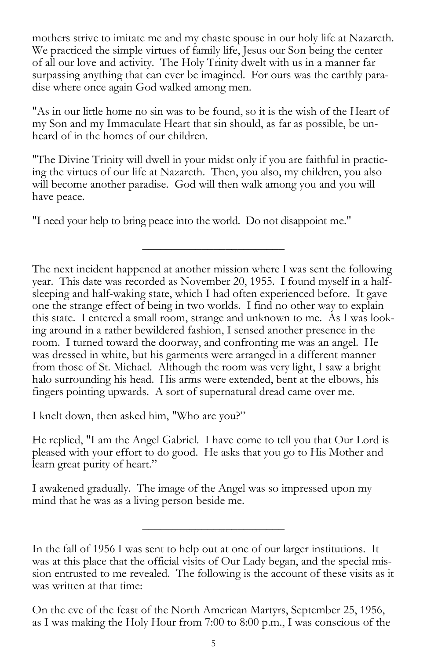mothers strive to imitate me and my chaste spouse in our holy life at Nazareth. We practiced the simple virtues of family life, Jesus our Son being the center of all our love and activity. The Holy Trinity dwelt with us in a manner far surpassing anything that can ever be imagined. For ours was the earthly paradise where once again God walked among men.

"As in our little home no sin was to be found, so it is the wish of the Heart of my Son and my Immaculate Heart that sin should, as far as possible, be unheard of in the homes of our children.

"The Divine Trinity will dwell in your midst only if you are faithful in practicing the virtues of our life at Nazareth. Then, you also, my children, you also will become another paradise. God will then walk among you and you will have peace.

 $\overline{\phantom{a}}$  , where  $\overline{\phantom{a}}$  , where  $\overline{\phantom{a}}$  , where  $\overline{\phantom{a}}$ 

"I need your help to bring peace into the world. Do not disappoint me."

The next incident happened at another mission where I was sent the following year. This date was recorded as November 20, 1955. I found myself in a halfsleeping and half-waking state, which I had often experienced before. It gave one the strange effect of being in two worlds. I find no other way to explain this state. I entered a small room, strange and unknown to me. As I was looking around in a rather bewildered fashion, I sensed another presence in the room. I turned toward the doorway, and confronting me was an angel. He was dressed in white, but his garments were arranged in a different manner from those of St. Michael. Although the room was very light, I saw a bright halo surrounding his head. His arms were extended, bent at the elbows, his fingers pointing upwards. A sort of supernatural dread came over me.

I knelt down, then asked him, "Who are you?"

He replied, "I am the Angel Gabriel. I have come to tell you that Our Lord is pleased with your effort to do good. He asks that you go to His Mother and learn great purity of heart."

I awakened gradually. The image of the Angel was so impressed upon my mind that he was as a living person beside me.

 $\overline{\phantom{a}}$  , where  $\overline{\phantom{a}}$  , where  $\overline{\phantom{a}}$  , where  $\overline{\phantom{a}}$ 

In the fall of 1956 I was sent to help out at one of our larger institutions. It was at this place that the official visits of Our Lady began, and the special mission entrusted to me revealed. The following is the account of these visits as it was written at that time:

On the eve of the feast of the North American Martyrs, September 25, 1956, as I was making the Holy Hour from 7:00 to 8:00 p.m., I was conscious of the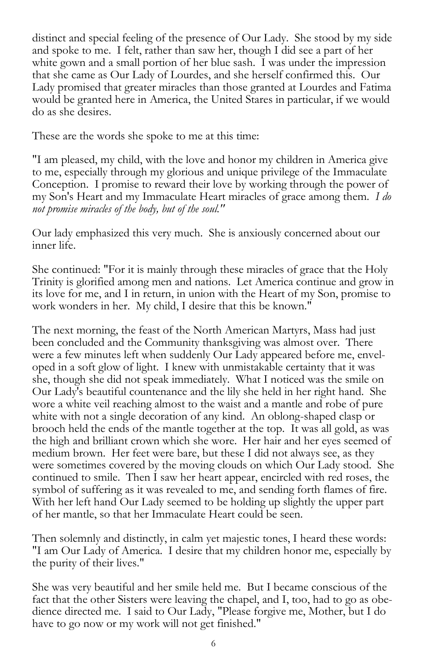distinct and special feeling of the presence of Our Lady. She stood by my side and spoke to me. I felt, rather than saw her, though I did see a part of her white gown and a small portion of her blue sash. I was under the impression that she came as Our Lady of Lourdes, and she herself confirmed this. Our Lady promised that greater miracles than those granted at Lourdes and Fatima would be granted here in America, the United Stares in particular, if we would do as she desires.

These are the words she spoke to me at this time:

"I am pleased, my child, with the love and honor my children in America give to me, especially through my glorious and unique privilege of the Immaculate Conception. I promise to reward their love by working through the power of my Son's Heart and my Immaculate Heart miracles of grace among them. *I do not promise miracles of the body, but of the soul."*

Our lady emphasized this very much. She is anxiously concerned about our inner life.

She continued: "For it is mainly through these miracles of grace that the Holy Trinity is glorified among men and nations. Let America continue and grow in its love for me, and I in return, in union with the Heart of my Son, promise to work wonders in her. My child, I desire that this be known."

The next morning, the feast of the North American Martyrs, Mass had just been concluded and the Community thanksgiving was almost over. There were a few minutes left when suddenly Our Lady appeared before me, enveloped in a soft glow of light. I knew with unmistakable certainty that it was she, though she did not speak immediately. What I noticed was the smile on Our Lady's beautiful countenance and the lily she held in her right hand. She wore a white veil reaching almost to the waist and a mantle and robe of pure white with not a single decoration of any kind. An oblong-shaped clasp or brooch held the ends of the mantle together at the top. It was all gold, as was the high and brilliant crown which she wore. Her hair and her eyes seemed of medium brown. Her feet were bare, but these I did not always see, as they were sometimes covered by the moving clouds on which Our Lady stood. She continued to smile. Then I saw her heart appear, encircled with red roses, the symbol of suffering as it was revealed to me, and sending forth flames of fire. With her left hand Our Lady seemed to be holding up slightly the upper part of her mantle, so that her Immaculate Heart could be seen.

Then solemnly and distinctly, in calm yet majestic tones, I heard these words: "I am Our Lady of America. I desire that my children honor me, especially by the purity of their lives."

She was very beautiful and her smile held me. But I became conscious of the fact that the other Sisters were leaving the chapel, and I, too, had to go as obedience directed me. I said to Our Lady, "Please forgive me, Mother, but I do have to go now or my work will not get finished."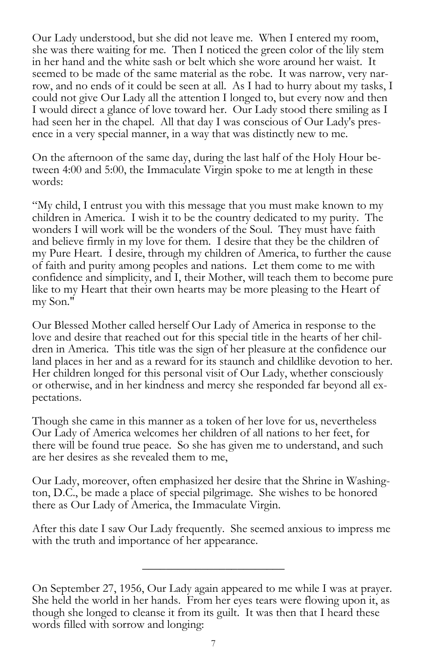Our Lady understood, but she did not leave me. When I entered my room, she was there waiting for me. Then I noticed the green color of the lily stem in her hand and the white sash or belt which she wore around her waist. It seemed to be made of the same material as the robe. It was narrow, very narrow, and no ends of it could be seen at all. As I had to hurry about my tasks, I could not give Our Lady all the attention I longed to, but every now and then I would direct a glance of love toward her. Our Lady stood there smiling as I had seen her in the chapel. All that day I was conscious of Our Lady's presence in a very special manner, in a way that was distinctly new to me.

On the afternoon of the same day, during the last half of the Holy Hour between 4:00 and 5:00, the Immaculate Virgin spoke to me at length in these words:

"My child, I entrust you with this message that you must make known to my children in America. I wish it to be the country dedicated to my purity. The wonders I will work will be the wonders of the Soul. They must have faith and believe firmly in my love for them. I desire that they be the children of my Pure Heart. I desire, through my children of America, to further the cause of faith and purity among peoples and nations. Let them come to me with confidence and simplicity, and I, their Mother, will teach them to become pure like to my Heart that their own hearts may be more pleasing to the Heart of my Son."

Our Blessed Mother called herself Our Lady of America in response to the love and desire that reached out for this special title in the hearts of her children in America. This title was the sign of her pleasure at the confidence our land places in her and as a reward for its staunch and childlike devotion to her. Her children longed for this personal visit of Our Lady, whether consciously or otherwise, and in her kindness and mercy she responded far beyond all expectations.

Though she came in this manner as a token of her love for us, nevertheless Our Lady of America welcomes her children of all nations to her feet, for there will be found true peace. So she has given me to understand, and such are her desires as she revealed them to me,

Our Lady, moreover, often emphasized her desire that the Shrine in Washington, D.C., be made a place of special pilgrimage. She wishes to be honored there as Our Lady of America, the Immaculate Virgin.

After this date I saw Our Lady frequently. She seemed anxious to impress me with the truth and importance of her appearance.

\_\_\_\_\_\_\_\_\_\_\_\_\_\_\_\_\_\_\_\_\_\_\_\_

On September 27, 1956, Our Lady again appeared to me while I was at prayer. She held the world in her hands. From her eyes tears were flowing upon it, as though she longed to cleanse it from its guilt. It was then that I heard these words filled with sorrow and longing: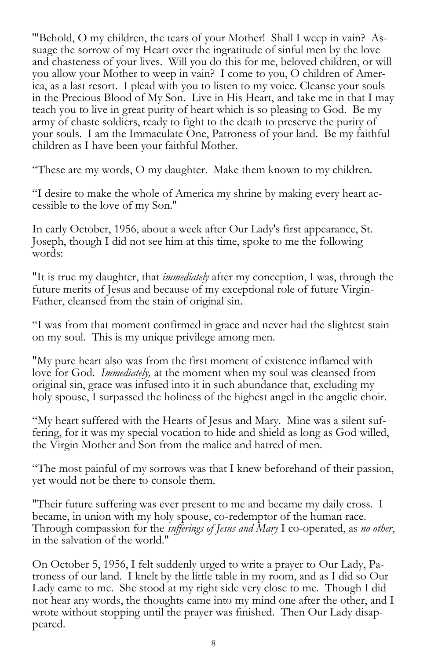'"Behold, O my children, the tears of your Mother! Shall I weep in vain? Assuage the sorrow of my Heart over the ingratitude of sinful men by the love and chasteness of your lives. Will you do this for me, beloved children, or will you allow your Mother to weep in vain? I come to you, O children of America, as a last resort. I plead with you to listen to my voice. Cleanse your souls in the Precious Blood of My Son. Live in His Heart, and take me in that I may teach you to live in great purity of heart which is so pleasing to God. Be my army of chaste soldiers, ready to fight to the death to preserve the purity of your souls. I am the Immaculate One, Patroness of your land. Be my faithful children as I have been your faithful Mother.

"These are my words, O my daughter. Make them known to my children.

"I desire to make the whole of America my shrine by making every heart accessible to the love of my Son.''

In early October, 1956, about a week after Our Lady's first appearance, St. Joseph, though I did not see him at this time, spoke to me the following words:

"It is true my daughter, that *immediately* after my conception, I was, through the future merits of Jesus and because of my exceptional role of future Virgin-Father, cleansed from the stain of original sin.

"I was from that moment confirmed in grace and never had the slightest stain on my soul. This is my unique privilege among men.

"My pure heart also was from the first moment of existence inflamed with love for God. *Immediately,* at the moment when my soul was cleansed from original sin, grace was infused into it in such abundance that, excluding my holy spouse, I surpassed the holiness of the highest angel in the angelic choir.

"My heart suffered with the Hearts of Jesus and Mary. Mine was a silent suffering, for it was my special vocation to hide and shield as long as God willed, the Virgin Mother and Son from the malice and hatred of men.

"The most painful of my sorrows was that I knew beforehand of their passion, yet would not be there to console them.

"Their future suffering was ever present to me and became my daily cross. I became, in union with my holy spouse, co-redemptor of the human race. Through compassion for the *sufferings of Jesus and Mary* I co-operated, as *no other*, in the salvation of the world."

On October 5, 1956, I felt suddenly urged to write a prayer to Our Lady, Patroness of our land. I knelt by the little table in my room, and as I did so Our Lady came to me. She stood at my right side very close to me. Though I did not hear any words, the thoughts came into my mind one after the other, and I wrote without stopping until the prayer was finished. Then Our Lady disappeared.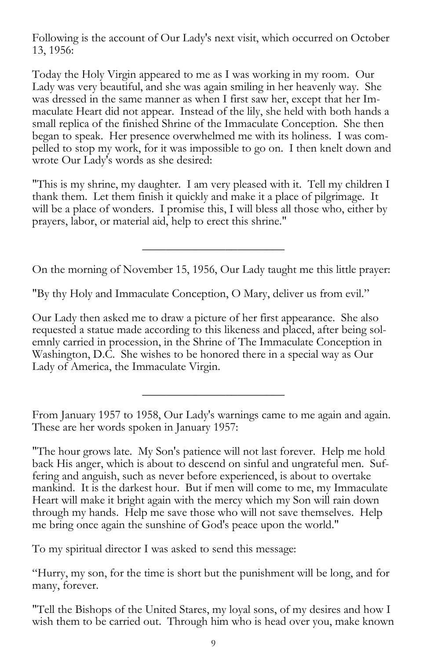Following is the account of Our Lady's next visit, which occurred on October 13, 1956:

Today the Holy Virgin appeared to me as I was working in my room. Our Lady was very beautiful, and she was again smiling in her heavenly way. She was dressed in the same manner as when I first saw her, except that her Immaculate Heart did not appear. Instead of the lily, she held with both hands a small replica of the finished Shrine of the Immaculate Conception. She then began to speak. Her presence overwhelmed me with its holiness. I was compelled to stop my work, for it was impossible to go on. I then knelt down and wrote Our Lady's words as she desired:

"This is my shrine, my daughter. I am very pleased with it. Tell my children I thank them. Let them finish it quickly and make it a place of pilgrimage. It will be a place of wonders. I promise this, I will bless all those who, either by prayers, labor, or material aid, help to erect this shrine."

On the morning of November 15, 1956, Our Lady taught me this little prayer:

 $\overline{\phantom{a}}$  , where  $\overline{\phantom{a}}$  , where  $\overline{\phantom{a}}$  , where  $\overline{\phantom{a}}$ 

"By thy Holy and Immaculate Conception, O Mary, deliver us from evil."

Our Lady then asked me to draw a picture of her first appearance. She also requested a statue made according to this likeness and placed, after being solemnly carried in procession, in the Shrine of The Immaculate Conception in Washington, D.C. She wishes to be honored there in a special way as Our Lady of America, the Immaculate Virgin.

From January 1957 to 1958, Our Lady's warnings came to me again and again. These are her words spoken in January 1957:

\_\_\_\_\_\_\_\_\_\_\_\_\_\_\_\_\_\_\_\_\_\_\_\_

"The hour grows late. My Son's patience will not last forever. Help me hold back His anger, which is about to descend on sinful and ungrateful men. Suffering and anguish, such as never before experienced, is about to overtake mankind. It is the darkest hour. But if men will come to me, my Immaculate Heart will make it bright again with the mercy which my Son will rain down through my hands. Help me save those who will not save themselves. Help me bring once again the sunshine of God's peace upon the world."

To my spiritual director I was asked to send this message:

"Hurry, my son, for the time is short but the punishment will be long, and for many, forever.

"Tell the Bishops of the United Stares, my loyal sons, of my desires and how I wish them to be carried out. Through him who is head over you, make known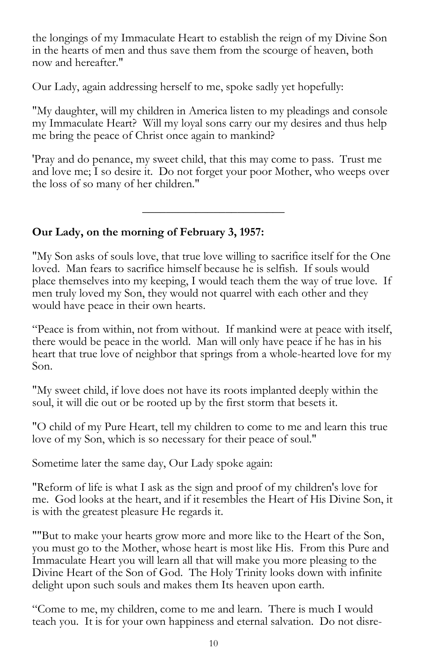the longings of my Immaculate Heart to establish the reign of my Divine Son in the hearts of men and thus save them from the scourge of heaven, both now and hereafter."

Our Lady, again addressing herself to me, spoke sadly yet hopefully:

"My daughter, will my children in America listen to my pleadings and console my Immaculate Heart? Will my loyal sons carry our my desires and thus help me bring the peace of Christ once again to mankind?

'Pray and do penance, my sweet child, that this may come to pass. Trust me and love me; I so desire it. Do not forget your poor Mother, who weeps over the loss of so many of her children."

\_\_\_\_\_\_\_\_\_\_\_\_\_\_\_\_\_\_\_\_\_\_\_\_

# **Our Lady, on the morning of February 3, 1957:**

"My Son asks of souls love, that true love willing to sacrifice itself for the One loved. Man fears to sacrifice himself because he is selfish. If souls would place themselves into my keeping, I would teach them the way of true love. If men truly loved my Son, they would not quarrel with each other and they would have peace in their own hearts.

"Peace is from within, not from without. If mankind were at peace with itself, there would be peace in the world. Man will only have peace if he has in his heart that true love of neighbor that springs from a whole-hearted love for my Son.

"My sweet child, if love does not have its roots implanted deeply within the soul, it will die out or be rooted up by the first storm that besets it.

"O child of my Pure Heart, tell my children to come to me and learn this true love of my Son, which is so necessary for their peace of soul."

Sometime later the same day, Our Lady spoke again:

"Reform of life is what I ask as the sign and proof of my children's love for me. God looks at the heart, and if it resembles the Heart of His Divine Son, it is with the greatest pleasure He regards it.

""But to make your hearts grow more and more like to the Heart of the Son, you must go to the Mother, whose heart is most like His. From this Pure and Immaculate Heart you will learn all that will make you more pleasing to the Divine Heart of the Son of God. The Holy Trinity looks down with infinite delight upon such souls and makes them Its heaven upon earth.

"Come to me, my children, come to me and learn. There is much I would teach you. It is for your own happiness and eternal salvation. Do not disre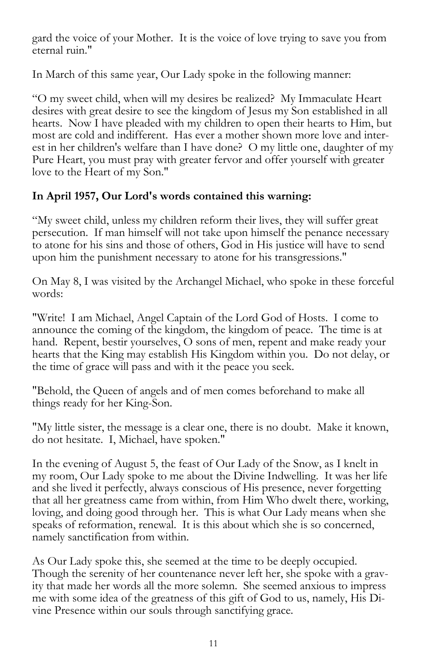gard the voice of your Mother. It is the voice of love trying to save you from eternal ruin."

In March of this same year, Our Lady spoke in the following manner:

"O my sweet child, when will my desires be realized? My Immaculate Heart desires with great desire to see the kingdom of Jesus my Son established in all hearts. Now I have pleaded with my children to open their hearts to Him, but most are cold and indifferent. Has ever a mother shown more love and interest in her children's welfare than I have done? O my little one, daughter of my Pure Heart, you must pray with greater fervor and offer yourself with greater love to the Heart of my Son."

# **In April 1957, Our Lord's words contained this warning:**

"My sweet child, unless my children reform their lives, they will suffer great persecution. If man himself will not take upon himself the penance necessary to atone for his sins and those of others, God in His justice will have to send upon him the punishment necessary to atone for his transgressions."

On May 8, I was visited by the Archangel Michael, who spoke in these forceful words:

"Write! I am Michael, Angel Captain of the Lord God of Hosts. I come to announce the coming of the kingdom, the kingdom of peace. The time is at hand. Repent, bestir yourselves, O sons of men, repent and make ready your hearts that the King may establish His Kingdom within you. Do not delay, or the time of grace will pass and with it the peace you seek.

"Behold, the Queen of angels and of men comes beforehand to make all things ready for her King-Son.

"My little sister, the message is a clear one, there is no doubt. Make it known, do not hesitate. I, Michael, have spoken."

In the evening of August 5, the feast of Our Lady of the Snow, as I knelt in my room, Our Lady spoke to me about the Divine Indwelling. It was her life and she lived it perfectly, always conscious of His presence, never forgetting that all her greatness came from within, from Him Who dwelt there, working, loving, and doing good through her. This is what Our Lady means when she speaks of reformation, renewal. It is this about which she is so concerned, namely sanctification from within.

As Our Lady spoke this, she seemed at the time to be deeply occupied. Though the serenity of her countenance never left her, she spoke with a gravity that made her words all the more solemn. She seemed anxious to impress me with some idea of the greatness of this gift of God to us, namely, His Divine Presence within our souls through sanctifying grace.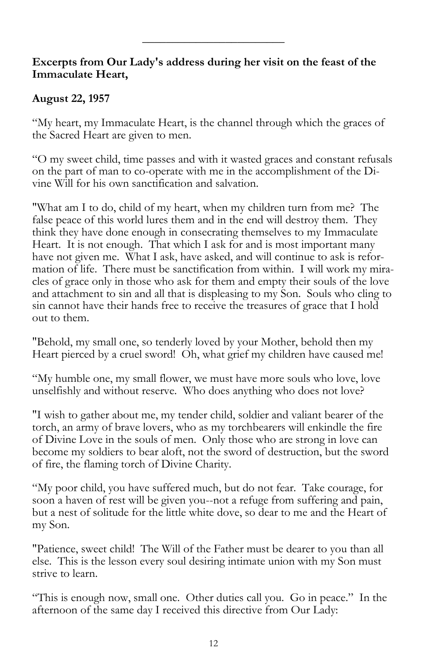## **Excerpts from Our Lady's address during her visit on the feast of the Immaculate Heart,**

\_\_\_\_\_\_\_\_\_\_\_\_\_\_\_\_\_\_\_\_\_\_\_\_

## **August 22, 1957**

"My heart, my Immaculate Heart, is the channel through which the graces of the Sacred Heart are given to men.

"O my sweet child, time passes and with it wasted graces and constant refusals on the part of man to co-operate with me in the accomplishment of the Divine Will for his own sanctification and salvation.

"What am I to do, child of my heart, when my children turn from me? The false peace of this world lures them and in the end will destroy them. They think they have done enough in consecrating themselves to my Immaculate Heart. It is not enough. That which I ask for and is most important many have not given me. What I ask, have asked, and will continue to ask is reformation of life. There must be sanctification from within. I will work my miracles of grace only in those who ask for them and empty their souls of the love and attachment to sin and all that is displeasing to my Son. Souls who cling to sin cannot have their hands free to receive the treasures of grace that I hold out to them.

"Behold, my small one, so tenderly loved by your Mother, behold then my Heart pierced by a cruel sword! Oh, what grief my children have caused me!

"My humble one, my small flower, we must have more souls who love, love unselfishly and without reserve. Who does anything who does not love?

"I wish to gather about me, my tender child, soldier and valiant bearer of the torch, an army of brave lovers, who as my torchbearers will enkindle the fire of Divine Love in the souls of men. Only those who are strong in love can become my soldiers to bear aloft, not the sword of destruction, but the sword of fire, the flaming torch of Divine Charity.

"My poor child, you have suffered much, but do not fear. Take courage, for soon a haven of rest will be given you--not a refuge from suffering and pain, but a nest of solitude for the little white dove, so dear to me and the Heart of my Son.

"Patience, sweet child! The Will of the Father must be dearer to you than all else. This is the lesson every soul desiring intimate union with my Son must strive to learn.

"This is enough now, small one. Other duties call you. Go in peace." In the afternoon of the same day I received this directive from Our Lady: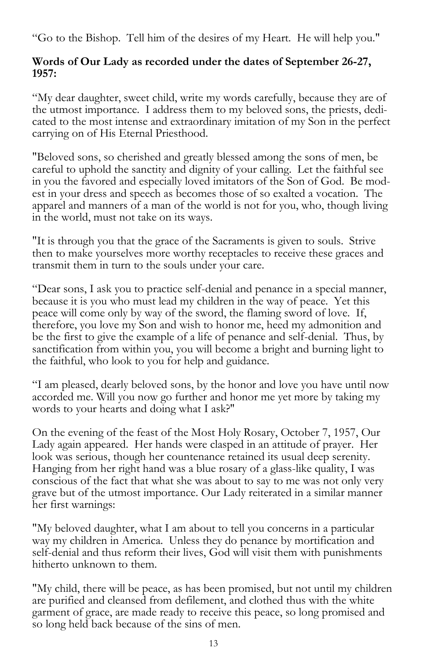"Go to the Bishop. Tell him of the desires of my Heart. He will help you."

#### **Words of Our Lady as recorded under the dates of September 26-27, 1957:**

"My dear daughter, sweet child, write my words carefully, because they are of the utmost importance. I address them to my beloved sons, the priests, dedicated to the most intense and extraordinary imitation of my Son in the perfect carrying on of His Eternal Priesthood.

"Beloved sons, so cherished and greatly blessed among the sons of men, be careful to uphold the sanctity and dignity of your calling. Let the faithful see in you the favored and especially loved imitators of the Son of God. Be modest in your dress and speech as becomes those of so exalted a vocation. The apparel and manners of a man of the world is not for you, who, though living in the world, must not take on its ways.

"It is through you that the grace of the Sacraments is given to souls. Strive then to make yourselves more worthy receptacles to receive these graces and transmit them in turn to the souls under your care.

"Dear sons, I ask you to practice self-denial and penance in a special manner, because it is you who must lead my children in the way of peace. Yet this peace will come only by way of the sword, the flaming sword of love. If, therefore, you love my Son and wish to honor me, heed my admonition and be the first to give the example of a life of penance and self-denial. Thus, by sanctification from within you, you will become a bright and burning light to the faithful, who look to you for help and guidance.

"I am pleased, dearly beloved sons, by the honor and love you have until now accorded me. Will you now go further and honor me yet more by taking my words to your hearts and doing what I ask?''

On the evening of the feast of the Most Holy Rosary, October 7, 1957, Our Lady again appeared. Her hands were clasped in an attitude of prayer. Her look was serious, though her countenance retained its usual deep serenity. Hanging from her right hand was a blue rosary of a glass-like quality, I was conscious of the fact that what she was about to say to me was not only very grave but of the utmost importance. Our Lady reiterated in a similar manner her first warnings:

"My beloved daughter, what I am about to tell you concerns in a particular way my children in America. Unless they do penance by mortification and self-denial and thus reform their lives, God will visit them with punishments hitherto unknown to them.

"My child, there will be peace, as has been promised, but not until my children are purified and cleansed from defilement, and clothed thus with the white garment of grace, are made ready to receive this peace, so long promised and so long held back because of the sins of men.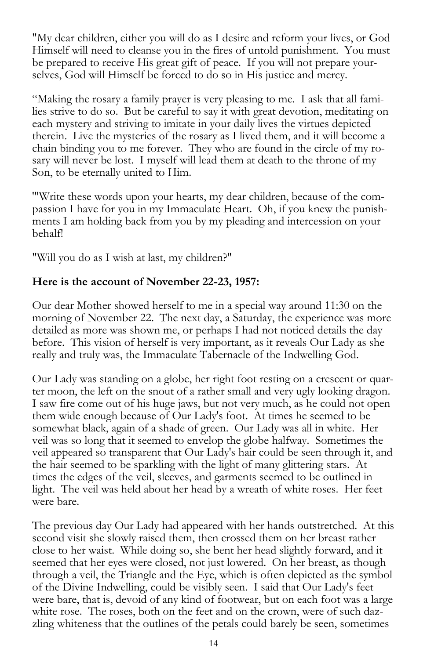"My dear children, either you will do as I desire and reform your lives, or God Himself will need to cleanse you in the fires of untold punishment. You must be prepared to receive His great gift of peace. If you will not prepare yourselves, God will Himself be forced to do so in His justice and mercy.

"Making the rosary a family prayer is very pleasing to me. I ask that all families strive to do so. But be careful to say it with great devotion, meditating on each mystery and striving to imitate in your daily lives the virtues depicted therein. Live the mysteries of the rosary as I lived them, and it will become a chain binding you to me forever. They who are found in the circle of my rosary will never be lost. I myself will lead them at death to the throne of my Son, to be eternally united to Him.

'"Write these words upon your hearts, my dear children, because of the compassion I have for you in my Immaculate Heart. Oh, if you knew the punishments I am holding back from you by my pleading and intercession on your behalf!

"Will you do as I wish at last, my children?''

#### **Here is the account of November 22-23, 1957:**

Our dear Mother showed herself to me in a special way around 11:30 on the morning of November 22. The next day, a Saturday, the experience was more detailed as more was shown me, or perhaps I had not noticed details the day before. This vision of herself is very important, as it reveals Our Lady as she really and truly was, the Immaculate Tabernacle of the Indwelling God.

Our Lady was standing on a globe, her right foot resting on a crescent or quarter moon, the left on the snout of a rather small and very ugly looking dragon. I saw fire come out of his huge jaws, but not very much, as he could not open them wide enough because of Our Lady's foot. At times he seemed to be somewhat black, again of a shade of green. Our Lady was all in white. Her veil was so long that it seemed to envelop the globe halfway. Sometimes the veil appeared so transparent that Our Lady's hair could be seen through it, and the hair seemed to be sparkling with the light of many glittering stars. At times the edges of the veil, sleeves, and garments seemed to be outlined in light. The veil was held about her head by a wreath of white roses. Her feet were bare.

The previous day Our Lady had appeared with her hands outstretched. At this second visit she slowly raised them, then crossed them on her breast rather close to her waist. While doing so, she bent her head slightly forward, and it seemed that her eyes were closed, not just lowered. On her breast, as though through a veil, the Triangle and the Eye, which is often depicted as the symbol of the Divine Indwelling, could be visibly seen. I said that Our Lady's feet were bare, that is, devoid of any kind of footwear, but on each foot was a large white rose. The roses, both on the feet and on the crown, were of such dazzling whiteness that the outlines of the petals could barely be seen, sometimes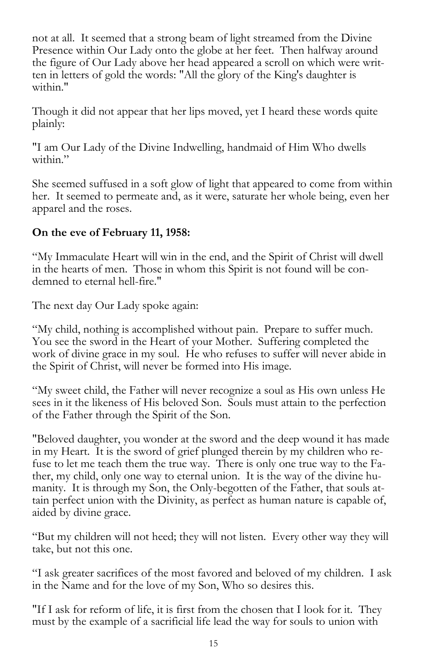not at all. It seemed that a strong beam of light streamed from the Divine Presence within Our Lady onto the globe at her feet. Then halfway around the figure of Our Lady above her head appeared a scroll on which were written in letters of gold the words: "All the glory of the King's daughter is within."

Though it did not appear that her lips moved, yet I heard these words quite plainly:

"I am Our Lady of the Divine Indwelling, handmaid of Him Who dwells within"

She seemed suffused in a soft glow of light that appeared to come from within her. It seemed to permeate and, as it were, saturate her whole being, even her apparel and the roses.

# **On the eve of February 11, 1958:**

"My Immaculate Heart will win in the end, and the Spirit of Christ will dwell in the hearts of men. Those in whom this Spirit is not found will be condemned to eternal hell-fire."

The next day Our Lady spoke again:

"My child, nothing is accomplished without pain. Prepare to suffer much. You see the sword in the Heart of your Mother. Suffering completed the work of divine grace in my soul. He who refuses to suffer will never abide in the Spirit of Christ, will never be formed into His image.

"My sweet child, the Father will never recognize a soul as His own unless He sees in it the likeness of His beloved Son. Souls must attain to the perfection of the Father through the Spirit of the Son.

"Beloved daughter, you wonder at the sword and the deep wound it has made in my Heart. It is the sword of grief plunged therein by my children who refuse to let me teach them the true way. There is only one true way to the Father, my child, only one way to eternal union. It is the way of the divine humanity. It is through my Son, the Only-begotten of the Father, that souls attain perfect union with the Divinity, as perfect as human nature is capable of, aided by divine grace.

"But my children will not heed; they will not listen. Every other way they will take, but not this one.

"I ask greater sacrifices of the most favored and beloved of my children. I ask in the Name and for the love of my Son, Who so desires this.

"If I ask for reform of life, it is first from the chosen that I look for it. They must by the example of a sacrificial life lead the way for souls to union with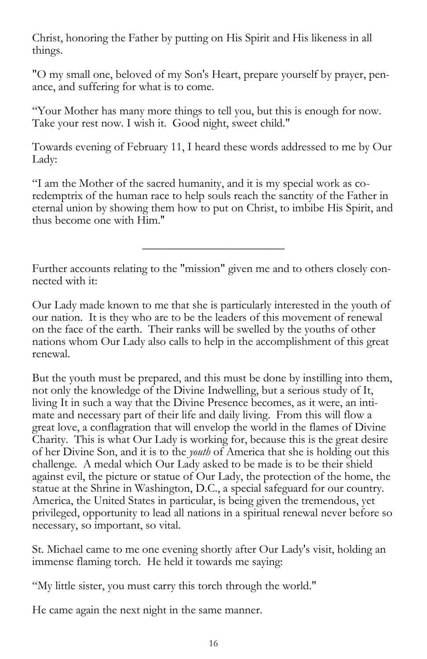Christ, honoring the Father by putting on His Spirit and His likeness in all things.

"O my small one, beloved of my Son's Heart, prepare yourself by prayer, penance, and suffering for what is to come.

"Your Mother has many more things to tell you, but this is enough for now. Take your rest now. I wish it. Good night, sweet child."

Towards evening of February 11, I heard these words addressed to me by Our Lady:

"I am the Mother of the sacred humanity, and it is my special work as coredemptrix of the human race to help souls reach the sanctity of the Father in eternal union by showing them how to put on Christ, to imbibe His Spirit, and thus become one with Him.''

Further accounts relating to the "mission" given me and to others closely connected with it:

 $\overline{\phantom{a}}$  , where  $\overline{\phantom{a}}$  , where  $\overline{\phantom{a}}$  , where  $\overline{\phantom{a}}$ 

Our Lady made known to me that she is particularly interested in the youth of our nation. It is they who are to be the leaders of this movement of renewal on the face of the earth. Their ranks will be swelled by the youths of other nations whom Our Lady also calls to help in the accomplishment of this great renewal.

But the youth must be prepared, and this must be done by instilling into them, not only the knowledge of the Divine Indwelling, but a serious study of It, living It in such a way that the Divine Presence becomes, as it were, an intimate and necessary part of their life and daily living. From this will flow a great love, a conflagration that will envelop the world in the flames of Divine Charity. This is what Our Lady is working for, because this is the great desire of her Divine Son, and it is to the *youth* of America that she is holding out this challenge. A medal which Our Lady asked to be made is to be their shield against evil, the picture or statue of Our Lady, the protection of the home, the statue at the Shrine in Washington, D.C., a special safeguard for our country. America, the United States in particular, is being given the tremendous, yet privileged, opportunity to lead all nations in a spiritual renewal never before so necessary, so important, so vital.

St. Michael came to me one evening shortly after Our Lady's visit, holding an immense flaming torch. He held it towards me saying:

"My little sister, you must carry this torch through the world."

He came again the next night in the same manner.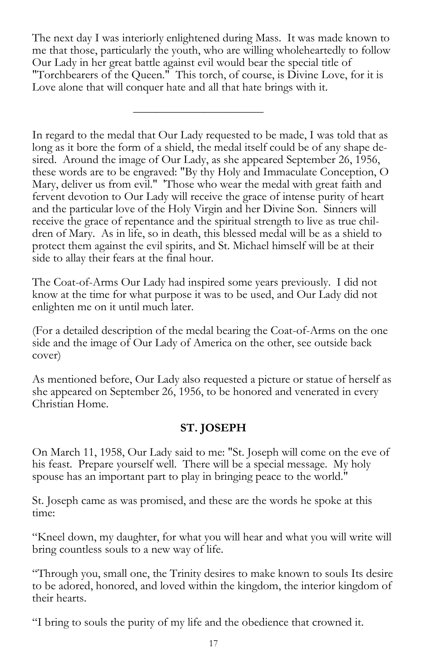The next day I was interiorly enlightened during Mass. It was made known to me that those, particularly the youth, who are willing wholeheartedly to follow Our Lady in her great battle against evil would bear the special title of "Torchbearers of the Queen." This torch, of course, is Divine Love, for it is Love alone that will conquer hate and all that hate brings with it.

———————————

In regard to the medal that Our Lady requested to be made, I was told that as long as it bore the form of a shield, the medal itself could be of any shape desired. Around the image of Our Lady, as she appeared September 26, 1956, these words are to be engraved: "By thy Holy and Immaculate Conception, O Mary, deliver us from evil." 'Those who wear the medal with great faith and fervent devotion to Our Lady will receive the grace of intense purity of heart and the particular love of the Holy Virgin and her Divine Son. Sinners will receive the grace of repentance and the spiritual strength to live as true children of Mary. As in life, so in death, this blessed medal will be as a shield to protect them against the evil spirits, and St. Michael himself will be at their side to allay their fears at the final hour.

The Coat-of-Arms Our Lady had inspired some years previously. I did not know at the time for what purpose it was to be used, and Our Lady did not enlighten me on it until much later.

(For a detailed description of the medal bearing the Coat-of-Arms on the one side and the image of Our Lady of America on the other, see outside back cover)

As mentioned before, Our Lady also requested a picture or statue of herself as she appeared on September 26, 1956, to be honored and venerated in every Christian Home.

## **ST. JOSEPH**

On March 11, 1958, Our Lady said to me: "St. Joseph will come on the eve of his feast. Prepare yourself well. There will be a special message. My holy spouse has an important part to play in bringing peace to the world."

St. Joseph came as was promised, and these are the words he spoke at this time:

"Kneel down, my daughter, for what you will hear and what you will write will bring countless souls to a new way of life.

"Through you, small one, the Trinity desires to make known to souls Its desire to be adored, honored, and loved within the kingdom, the interior kingdom of their hearts.

"I bring to souls the purity of my life and the obedience that crowned it.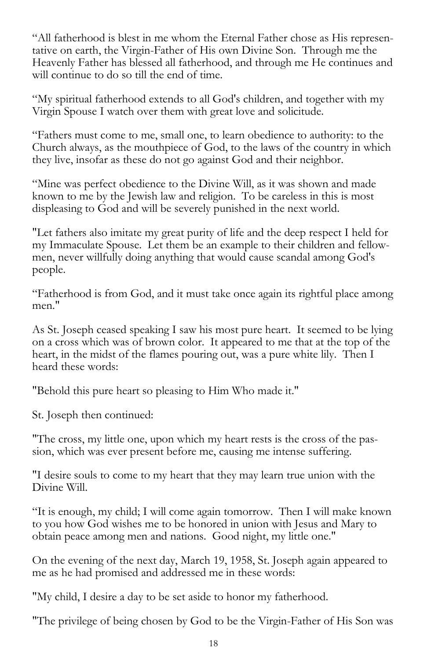"All fatherhood is blest in me whom the Eternal Father chose as His representative on earth, the Virgin-Father of His own Divine Son. Through me the Heavenly Father has blessed all fatherhood, and through me He continues and will continue to do so till the end of time.

"My spiritual fatherhood extends to all God's children, and together with my Virgin Spouse I watch over them with great love and solicitude.

"Fathers must come to me, small one, to learn obedience to authority: to the Church always, as the mouthpiece of God, to the laws of the country in which they live, insofar as these do not go against God and their neighbor.

"Mine was perfect obedience to the Divine Will, as it was shown and made known to me by the Jewish law and religion. To be careless in this is most displeasing to God and will be severely punished in the next world.

"Let fathers also imitate my great purity of life and the deep respect I held for my Immaculate Spouse. Let them be an example to their children and fellowmen, never willfully doing anything that would cause scandal among God's people.

"Fatherhood is from God, and it must take once again its rightful place among men."

As St. Joseph ceased speaking I saw his most pure heart. It seemed to be lying on a cross which was of brown color. It appeared to me that at the top of the heart, in the midst of the flames pouring out, was a pure white lily. Then I heard these words:

"Behold this pure heart so pleasing to Him Who made it."

St. Joseph then continued:

"The cross, my little one, upon which my heart rests is the cross of the passion, which was ever present before me, causing me intense suffering.

"I desire souls to come to my heart that they may learn true union with the Divine Will.

"It is enough, my child; I will come again tomorrow. Then I will make known to you how God wishes me to be honored in union with Jesus and Mary to obtain peace among men and nations. Good night, my little one."

On the evening of the next day, March 19, 1958, St. Joseph again appeared to me as he had promised and addressed me in these words:

"My child, I desire a day to be set aside to honor my fatherhood.

"The privilege of being chosen by God to be the Virgin-Father of His Son was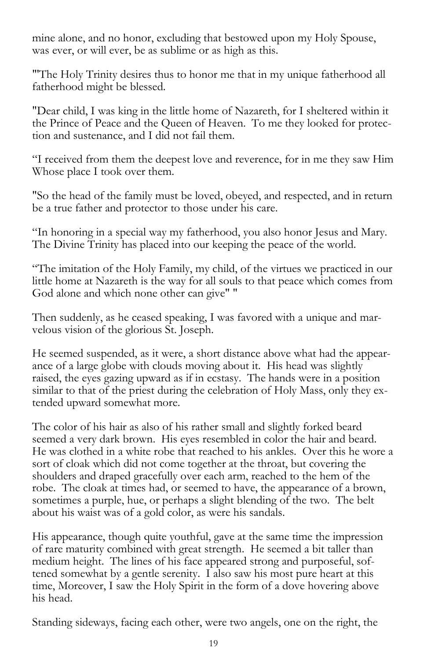mine alone, and no honor, excluding that bestowed upon my Holy Spouse, was ever, or will ever, be as sublime or as high as this.

"'The Holy Trinity desires thus to honor me that in my unique fatherhood all fatherhood might be blessed.

"Dear child, I was king in the little home of Nazareth, for I sheltered within it the Prince of Peace and the Queen of Heaven. To me they looked for protection and sustenance, and I did not fail them.

"I received from them the deepest love and reverence, for in me they saw Him Whose place I took over them.

"So the head of the family must be loved, obeyed, and respected, and in return be a true father and protector to those under his care.

"In honoring in a special way my fatherhood, you also honor Jesus and Mary. The Divine Trinity has placed into our keeping the peace of the world.

"The imitation of the Holy Family, my child, of the virtues we practiced in our little home at Nazareth is the way for all souls to that peace which comes from God alone and which none other can give" "

Then suddenly, as he ceased speaking, I was favored with a unique and marvelous vision of the glorious St. Joseph.

He seemed suspended, as it were, a short distance above what had the appearance of a large globe with clouds moving about it. His head was slightly raised, the eyes gazing upward as if in ecstasy. The hands were in a position similar to that of the priest during the celebration of Holy Mass, only they extended upward somewhat more.

The color of his hair as also of his rather small and slightly forked beard seemed a very dark brown. His eyes resembled in color the hair and beard. He was clothed in a white robe that reached to his ankles. Over this he wore a sort of cloak which did not come together at the throat, but covering the shoulders and draped gracefully over each arm, reached to the hem of the robe. The cloak at times had, or seemed to have, the appearance of a brown, sometimes a purple, hue, or perhaps a slight blending of the two. The belt about his waist was of a gold color, as were his sandals.

His appearance, though quite youthful, gave at the same time the impression of rare maturity combined with great strength. He seemed a bit taller than medium height. The lines of his face appeared strong and purposeful, softened somewhat by a gentle serenity. I also saw his most pure heart at this time, Moreover, I saw the Holy Spirit in the form of a dove hovering above his head.

Standing sideways, facing each other, were two angels, one on the right, the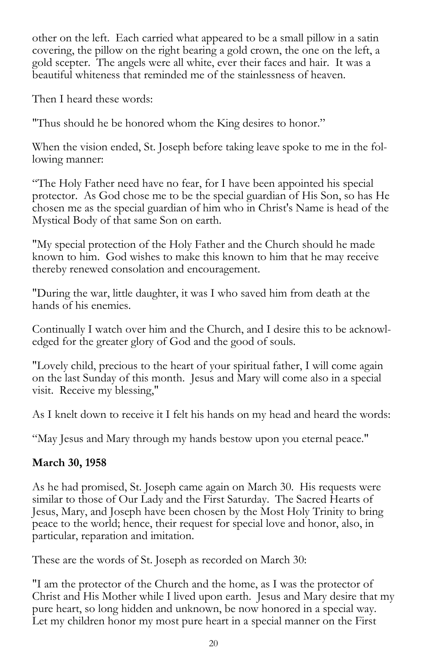other on the left. Each carried what appeared to be a small pillow in a satin covering, the pillow on the right bearing a gold crown, the one on the left, a gold scepter. The angels were all white, ever their faces and hair. It was a beautiful whiteness that reminded me of the stainlessness of heaven.

Then I heard these words:

"Thus should he be honored whom the King desires to honor."

When the vision ended, St. Joseph before taking leave spoke to me in the following manner:

"The Holy Father need have no fear, for I have been appointed his special protector. As God chose me to be the special guardian of His Son, so has He chosen me as the special guardian of him who in Christ's Name is head of the Mystical Body of that same Son on earth.

"My special protection of the Holy Father and the Church should he made known to him. God wishes to make this known to him that he may receive thereby renewed consolation and encouragement.

"During the war, little daughter, it was I who saved him from death at the hands of his enemies.

Continually I watch over him and the Church, and I desire this to be acknowledged for the greater glory of God and the good of souls.

"Lovely child, precious to the heart of your spiritual father, I will come again on the last Sunday of this month. Jesus and Mary will come also in a special visit. Receive my blessing,"

As I knelt down to receive it I felt his hands on my head and heard the words:

"May Jesus and Mary through my hands bestow upon you eternal peace."

# **March 30, 1958**

As he had promised, St. Joseph came again on March 30. His requests were similar to those of Our Lady and the First Saturday. The Sacred Hearts of Jesus, Mary, and Joseph have been chosen by the Most Holy Trinity to bring peace to the world; hence, their request for special love and honor, also, in particular, reparation and imitation.

These are the words of St. Joseph as recorded on March 30:

"I am the protector of the Church and the home, as I was the protector of Christ and His Mother while I lived upon earth. Jesus and Mary desire that my pure heart, so long hidden and unknown, be now honored in a special way. Let my children honor my most pure heart in a special manner on the First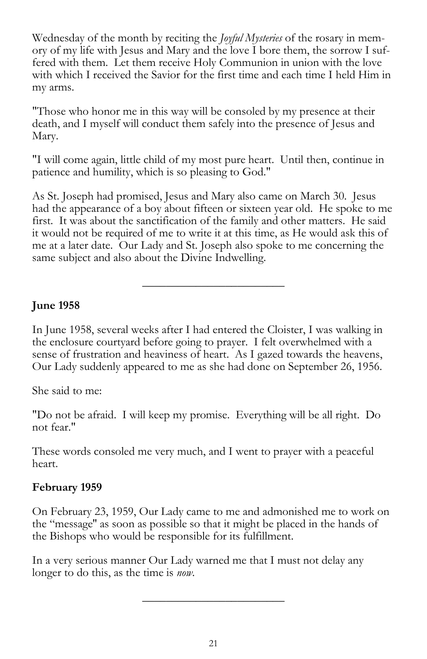Wednesday of the month by reciting the *Joyful Mysteries* of the rosary in memory of my life with Jesus and Mary and the love I bore them, the sorrow I suffered with them. Let them receive Holy Communion in union with the love with which I received the Savior for the first time and each time I held Him in my arms.

"Those who honor me in this way will be consoled by my presence at their death, and I myself will conduct them safely into the presence of Jesus and Mary.

"I will come again, little child of my most pure heart. Until then, continue in patience and humility, which is so pleasing to God."

As St. Joseph had promised, Jesus and Mary also came on March 30. Jesus had the appearance of a boy about fifteen or sixteen year old. He spoke to me first. It was about the sanctification of the family and other matters. He said it would not be required of me to write it at this time, as He would ask this of me at a later date. Our Lady and St. Joseph also spoke to me concerning the same subject and also about the Divine Indwelling.

 $\overline{\phantom{a}}$  , where  $\overline{\phantom{a}}$  , where  $\overline{\phantom{a}}$  , where  $\overline{\phantom{a}}$ 

# **June 1958**

In June 1958, several weeks after I had entered the Cloister, I was walking in the enclosure courtyard before going to prayer. I felt overwhelmed with a sense of frustration and heaviness of heart. As I gazed towards the heavens, Our Lady suddenly appeared to me as she had done on September 26, 1956.

She said to me:

"Do not be afraid. I will keep my promise. Everything will be all right. Do not fear."

These words consoled me very much, and I went to prayer with a peaceful heart.

#### **February 1959**

On February 23, 1959, Our Lady came to me and admonished me to work on the "message'' as soon as possible so that it might be placed in the hands of the Bishops who would be responsible for its fulfillment.

In a very serious manner Our Lady warned me that I must not delay any longer to do this, as the time is *now*.

\_\_\_\_\_\_\_\_\_\_\_\_\_\_\_\_\_\_\_\_\_\_\_\_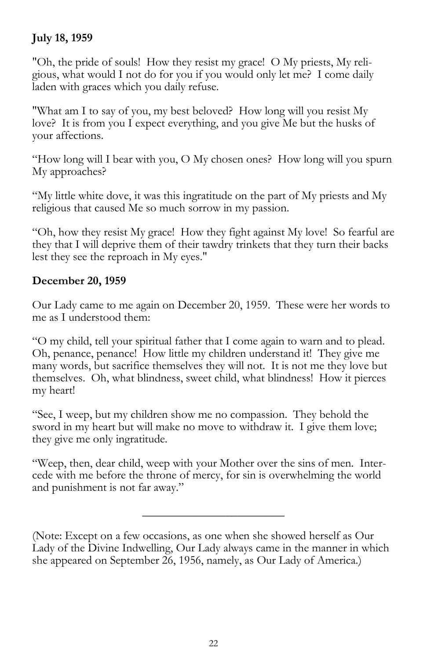## **July 18, 1959**

"Oh, the pride of souls! How they resist my grace! O My priests, My religious, what would I not do for you if you would only let me? I come daily laden with graces which you daily refuse.

"What am I to say of you, my best beloved? How long will you resist My love? It is from you I expect everything, and you give Me but the husks of your affections.

"How long will I bear with you, O My chosen ones? How long will you spurn My approaches?

"My little white dove, it was this ingratitude on the part of My priests and My religious that caused Me so much sorrow in my passion.

"Oh, how they resist My grace! How they fight against My love! So fearful are they that I will deprive them of their tawdry trinkets that they turn their backs lest they see the reproach in My eyes."

#### **December 20, 1959**

Our Lady came to me again on December 20, 1959. These were her words to me as I understood them:

"O my child, tell your spiritual father that I come again to warn and to plead. Oh, penance, penance! How little my children understand it! They give me many words, but sacrifice themselves they will not. It is not me they love but themselves. Oh, what blindness, sweet child, what blindness! How it pierces my heart!

"See, I weep, but my children show me no compassion. They behold the sword in my heart but will make no move to withdraw it. I give them love; they give me only ingratitude.

"Weep, then, dear child, weep with your Mother over the sins of men. Intercede with me before the throne of mercy, for sin is overwhelming the world and punishment is not far away."

\_\_\_\_\_\_\_\_\_\_\_\_\_\_\_\_\_\_\_\_\_\_\_\_

<sup>(</sup>Note: Except on a few occasions, as one when she showed herself as Our Lady of the Divine Indwelling, Our Lady always came in the manner in which she appeared on September 26, 1956, namely, as Our Lady of America.)